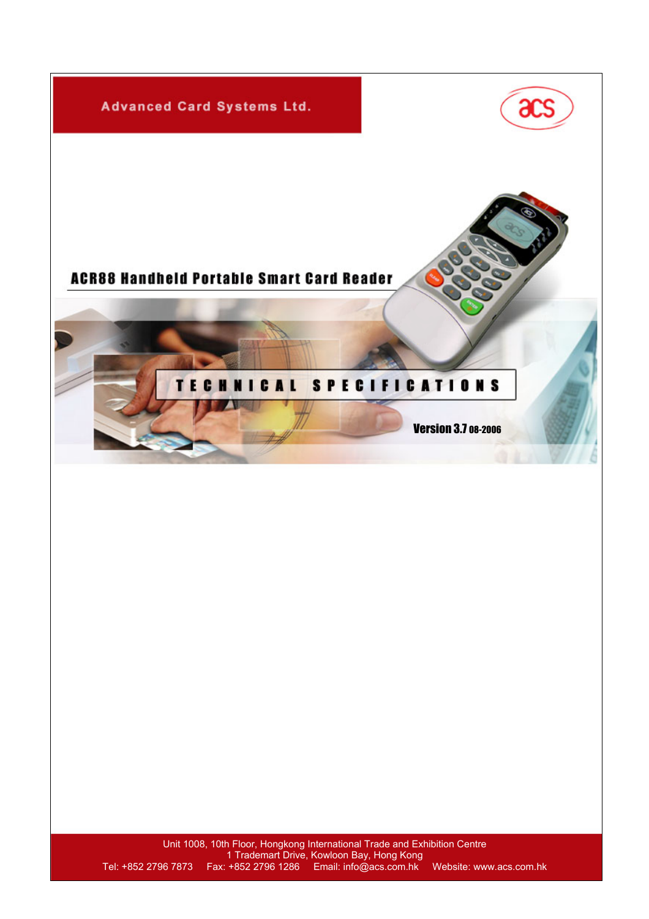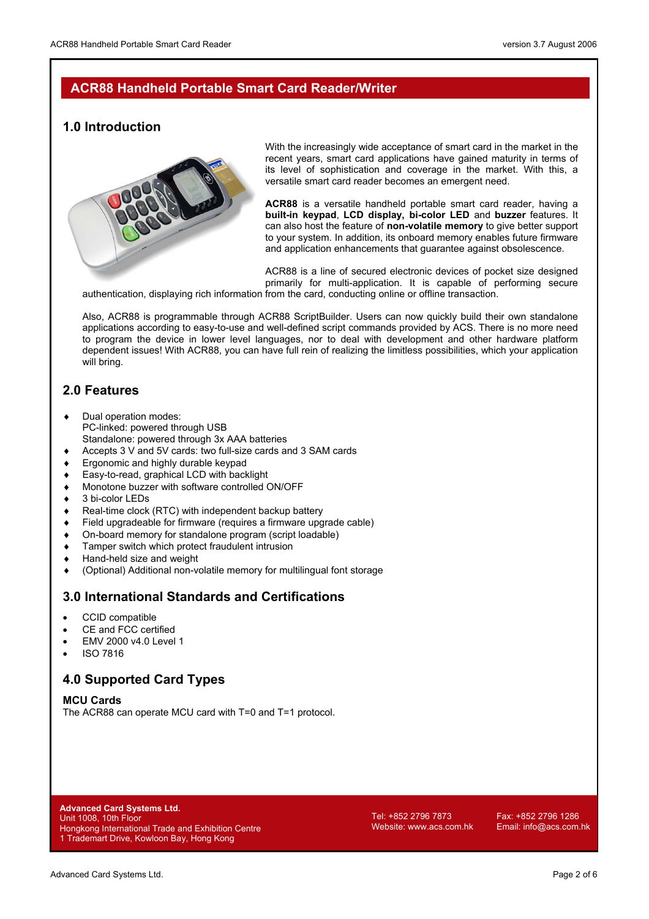## **ACR88 Handheld Portable Smart Card Reader/Writer**

### **1.0 Introduction**



With the increasingly wide acceptance of smart card in the market in the recent years, smart card applications have gained maturity in terms of its level of sophistication and coverage in the market. With this, a versatile smart card reader becomes an emergent need.

**ACR88** is a versatile handheld portable smart card reader, having a **built-in keypad**, **LCD display, bi-color LED** and **buzzer** features. It can also host the feature of **non-volatile memory** to give better support to your system. In addition, its onboard memory enables future firmware and application enhancements that guarantee against obsolescence.

ACR88 is a line of secured electronic devices of pocket size designed primarily for multi-application. It is capable of performing secure

authentication, displaying rich information from the card, conducting online or offline transaction.

Also, ACR88 is programmable through ACR88 ScriptBuilder. Users can now quickly build their own standalone applications according to easy-to-use and well-defined script commands provided by ACS. There is no more need to program the device in lower level languages, nor to deal with development and other hardware platform dependent issues! With ACR88, you can have full rein of realizing the limitless possibilities, which your application will bring.

# **2.0 Features**

- ♦ Dual operation modes: PC-linked: powered through USB Standalone: powered through 3x AAA batteries
- ♦ Accepts 3 V and 5V cards: two full-size cards and 3 SAM cards
- Ergonomic and highly durable keypad
- ♦ Easy-to-read, graphical LCD with backlight
- Monotone buzzer with software controlled ON/OFF
- 3 bi-color LEDs
- ♦ Real-time clock (RTC) with independent backup battery
- ♦ Field upgradeable for firmware (requires a firmware upgrade cable)
- ♦ On-board memory for standalone program (script loadable)
- ♦ Tamper switch which protect fraudulent intrusion
- ♦ Hand-held size and weight
- ♦ (Optional) Additional non-volatile memory for multilingual font storage

### **3.0 International Standards and Certifications**

- CCID compatible
- CE and FCC certified
- EMV 2000 v4.0 Level 1
- ISO 7816

# **4.0 Supported Card Types**

#### **MCU Cards**

The ACR88 can operate MCU card with T=0 and T=1 protocol.

**Advanced Card Systems Ltd.**  Unit 1008, 10th Floor Hongkong International Trade and Exhibition Centre 1 Trademart Drive, Kowloon Bay, Hong Kong

Tel: +852 2796 7873 Fax: +852 2796 1286 Website: www.acs.com.hk Email: info@acs.com.hk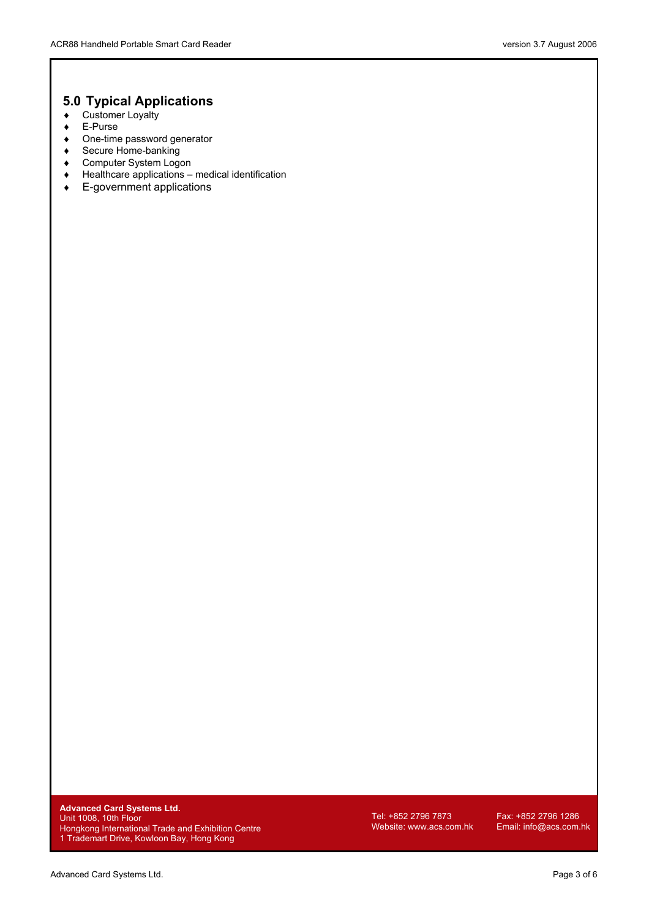# **5.0 Typical Applications**

- ♦ Customer Loyalty
- ♦ E-Purse
- ♦ One-time password generator
- ♦ Secure Home-banking
- ♦ Computer System Logon
- ♦ Healthcare applications medical identification
- ♦ E-government applications

**Advanced Card Systems Ltd.**  Unit 1008, 10th Floor Hongkong International Trade and Exhibition Centre 1 Trademart Drive, Kowloon Bay, Hong Kong

Tel: +852 2796 7873 Fax: +852 2796 1286<br>Website: www.acs.com.hk Email: info@acs.com.hk Website: www.acs.com.hk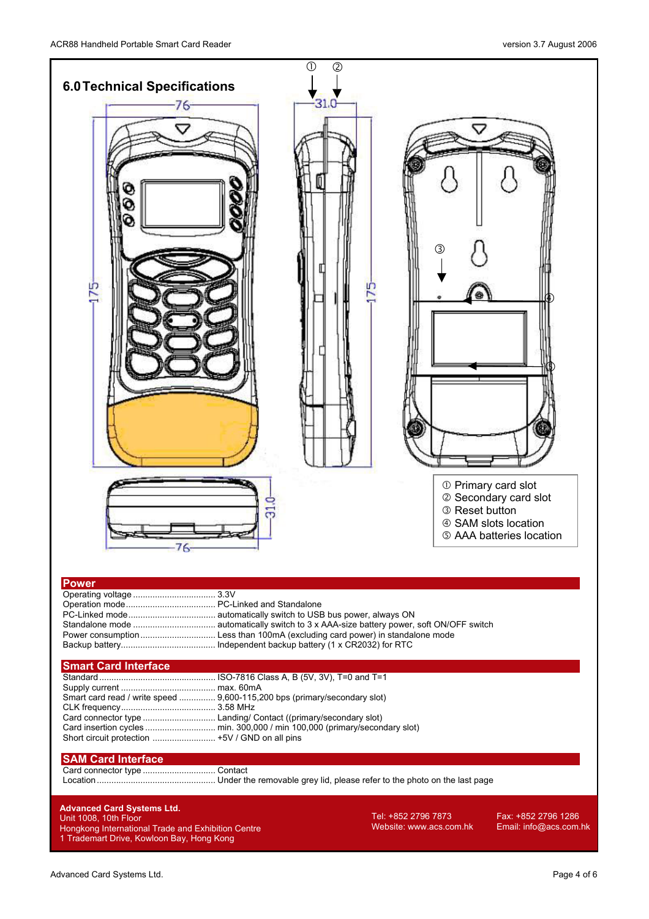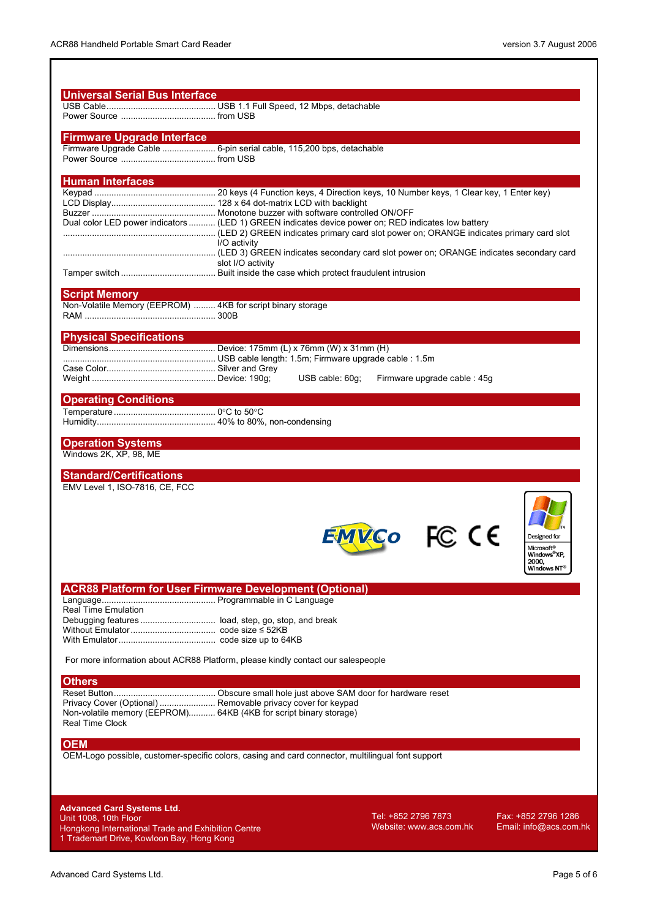| <b>Firmware Upgrade Interface</b>                                                          | Firmware Upgrade Cable  6-pin serial cable, 115,200 bps, detachable                                                                |
|--------------------------------------------------------------------------------------------|------------------------------------------------------------------------------------------------------------------------------------|
|                                                                                            |                                                                                                                                    |
|                                                                                            |                                                                                                                                    |
| <b>Human Interfaces</b>                                                                    |                                                                                                                                    |
|                                                                                            |                                                                                                                                    |
|                                                                                            |                                                                                                                                    |
|                                                                                            | Dual color LED power indicators  (LED 1) GREEN indicates device power on; RED indicates low battery                                |
|                                                                                            | LED 2) GREEN indicates primary card slot power on: ORANGE indicates primary card slot power on: ORANGE indicates primary card slot |
|                                                                                            | I/O activity                                                                                                                       |
|                                                                                            |                                                                                                                                    |
|                                                                                            | slot I/O activity                                                                                                                  |
|                                                                                            |                                                                                                                                    |
| <b>Script Memory</b>                                                                       |                                                                                                                                    |
| Non-Volatile Memory (EEPROM)  4KB for script binary storage                                |                                                                                                                                    |
|                                                                                            |                                                                                                                                    |
| <b>Physical Specifications</b>                                                             |                                                                                                                                    |
|                                                                                            |                                                                                                                                    |
|                                                                                            |                                                                                                                                    |
|                                                                                            | USB cable: 60g;<br>Firmware upgrade cable : 45g                                                                                    |
|                                                                                            |                                                                                                                                    |
| <b>Operating Conditions</b>                                                                |                                                                                                                                    |
|                                                                                            |                                                                                                                                    |
|                                                                                            |                                                                                                                                    |
| <b>Operation Systems</b>                                                                   |                                                                                                                                    |
|                                                                                            |                                                                                                                                    |
|                                                                                            |                                                                                                                                    |
|                                                                                            |                                                                                                                                    |
| Windows 2K, XP, 98, ME<br><b>Standard/Certifications</b><br>EMV Level 1, ISO-7816, CE, FCC |                                                                                                                                    |
|                                                                                            | Designed for                                                                                                                       |
|                                                                                            | Microsoft <sup>®</sup><br>Windows <sup>®</sup> XP,<br>2000,<br>Windows NT <sup>(</sup>                                             |
|                                                                                            | <b>ACR88 Platform for User Firmware Development (Optional)</b>                                                                     |
|                                                                                            |                                                                                                                                    |
|                                                                                            |                                                                                                                                    |
|                                                                                            |                                                                                                                                    |
|                                                                                            |                                                                                                                                    |
|                                                                                            | For more information about ACR88 Platform, please kindly contact our salespeople                                                   |
|                                                                                            |                                                                                                                                    |
|                                                                                            |                                                                                                                                    |
|                                                                                            |                                                                                                                                    |
|                                                                                            | Privacy Cover (Optional)  Removable privacy cover for keypad                                                                       |
|                                                                                            | Non-volatile memory (EEPROM) 64KB (4KB for script binary storage)                                                                  |
|                                                                                            |                                                                                                                                    |
|                                                                                            | OEM-Logo possible, customer-specific colors, casing and card connector, multilingual font support                                  |
|                                                                                            |                                                                                                                                    |
| <b>Real Time Emulation</b><br><b>Others</b><br><b>Real Time Clock</b><br><b>OEM</b>        |                                                                                                                                    |
|                                                                                            |                                                                                                                                    |
| <b>Advanced Card Systems Ltd.</b><br>Unit 1008, 10th Floor                                 | Tel: +852 2796 7873<br>Fax: +852 2796 1286                                                                                         |